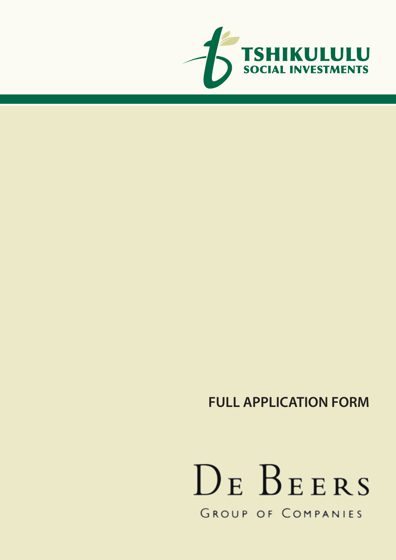

# DE BEERS GROUP OF COMPANIES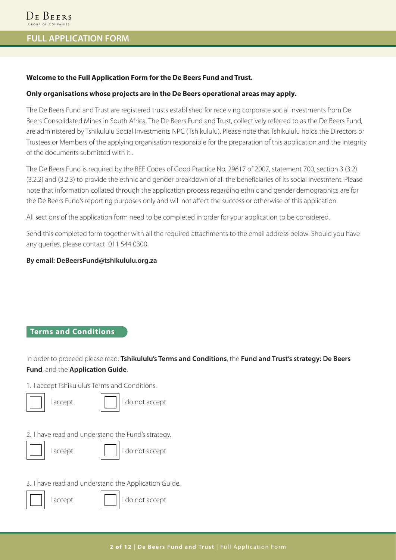### **Welcome to the Full Application Form for the De Beers Fund and Trust.**

#### **Only organisations whose projects are in the De Beers operational areas may apply.**

The De Beers Fund and Trust are registered trusts established for receiving corporate social investments from De Beers Consolidated Mines in South Africa. The De Beers Fund and Trust, collectively referred to as the De Beers Fund, are administered by Tshikululu Social Investments NPC (Tshikululu). Please note that Tshikululu holds the Directors or Trustees or Members of the applying organisation responsible for the preparation of this application and the integrity of the documents submitted with it..

The De Beers Fund is required by the BEE Codes of Good Practice No. 29617 of 2007, statement 700, section 3 (3.2) (3.2.2) and (3.2.3) to provide the ethnic and gender breakdown of all the beneficiaries of its social investment. Please note that information collated through the application process regarding ethnic and gender demographics are for the De Beers Fund's reporting purposes only and will not affect the success or otherwise of this application.

All sections of the application form need to be completed in order for your application to be considered.

Send this completed form together with all the required attachments to the email address below. Should you have any queries, please contact 011 544 0300.

### **By email: DeBeersFund@tshikululu.org.za**

### **Terms and Conditions**

In order to proceed please read: **Tshikululu's Terms and Conditions**, the **Fund and Trust's strategy: De Beers Fund**, and the **Application Guide**.

1. I accept Tshikululu's Terms and Conditions.

| accept |  | I do not accept |
|--------|--|-----------------|
|--------|--|-----------------|

2. I have read and understand the Fund's strategy.

|--|--|

| accept|| || || || do not accept

3. I have read and understand the Application Guide.



| accept| | | | | | | do not accept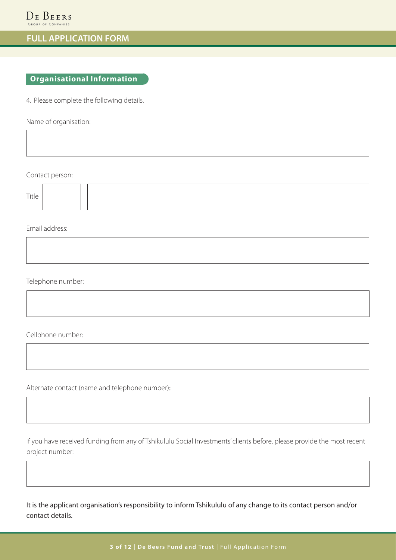### **Organisational Information**

4. Please complete the following details.

Name of organisation:

Contact person:

| ÷ | × |
|---|---|

Email address:

Telephone number:

Cellphone number:

Alternate contact (name and telephone number)::

If you have received funding from any of Tshikululu Social Investments' clients before, please provide the most recent project number:

It is the applicant organisation's responsibility to inform Tshikululu of any change to its contact person and/or contact details.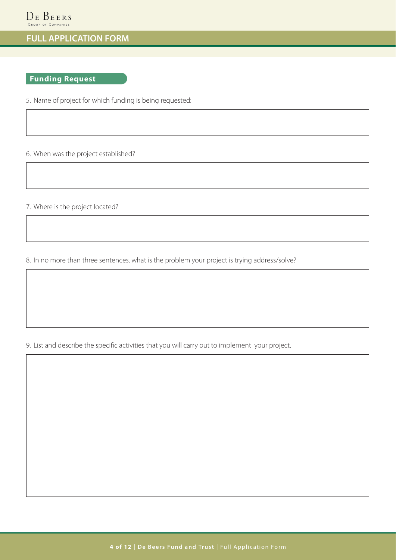### **Funding Request**

5. Name of project for which funding is being requested:

6. When was the project established?

7. Where is the project located?

8. In no more than three sentences, what is the problem your project is trying address/solve?

9. List and describe the specific activities that you will carry out to implement your project.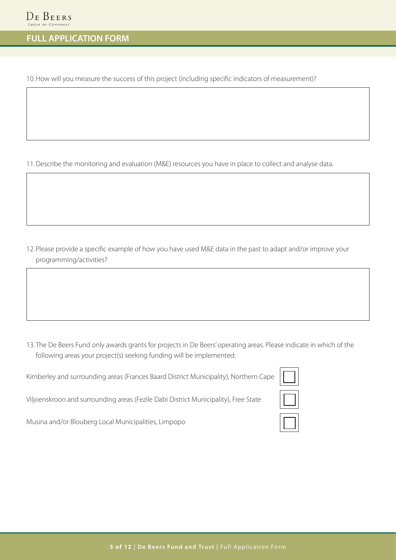10.How will you measure the success of this project (including specific indicators of measurement)?

11.Describe the monitoring and evaluation (M&E) resources you have in place to collect and analyse data.

12. Please provide a specific example of how you have used M&E data in the past to adapt and/or improve your programming/activities?

13. The De Beers Fund only awards grants for projects in De Beers' operating areas. Please indicate in which of the following areas your project(s) seeking funding will be implemented:

Kimberley and surrounding areas (Frances Baard District Municipality), Northern Cape

Viljoenskroon and surrounding areas (Fezile Dabi District Municipality), Free State

Musina and/or Blouberg Local Municipalities, Limpopo

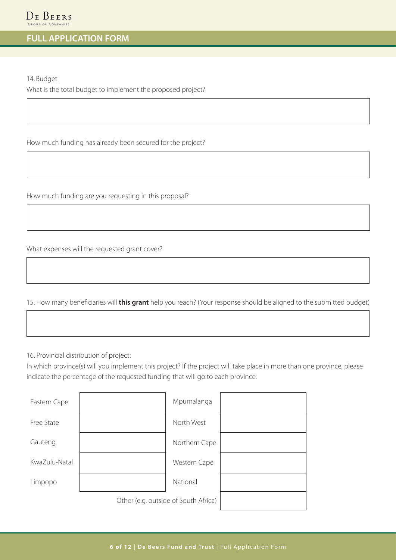14. Budget

What is the total budget to implement the proposed project?

How much funding has already been secured for the project?

How much funding are you requesting in this proposal?

What expenses will the requested grant cover?

15. How many beneficiaries will **this grant** help you reach? (Your response should be aligned to the submitted budget)

16. Provincial distribution of project:

In which province(s) will you implement this project? If the project will take place in more than one province, please indicate the percentage of the requested funding that will go to each province.

| Eastern Cape  |                                      | Mpumalanga    |  |
|---------------|--------------------------------------|---------------|--|
| Free State    |                                      | North West    |  |
| Gauteng       |                                      | Northern Cape |  |
| KwaZulu-Natal |                                      | Western Cape  |  |
| Limpopo       |                                      | National      |  |
|               | Other (e.g. outside of South Africa) |               |  |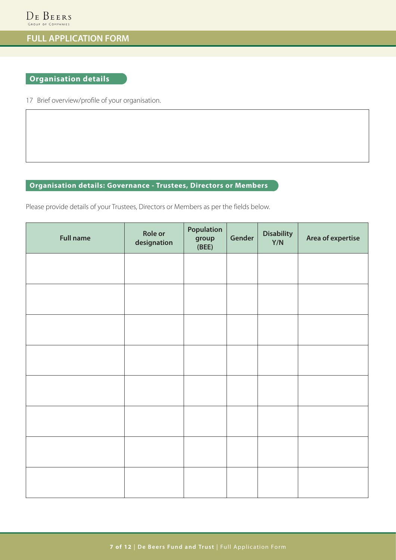### **Organisation details**

17 Brief overview/profile of your organisation.

### **Organisation details: Governance - Trustees, Directors or Members**

Please provide details of your Trustees, Directors or Members as per the fields below.

| <b>Full name</b> | <b>Role or</b><br>designation | Population<br>group<br>(BEE) | Gender | <b>Disability</b><br>Y/N | Area of expertise |
|------------------|-------------------------------|------------------------------|--------|--------------------------|-------------------|
|                  |                               |                              |        |                          |                   |
|                  |                               |                              |        |                          |                   |
|                  |                               |                              |        |                          |                   |
|                  |                               |                              |        |                          |                   |
|                  |                               |                              |        |                          |                   |
|                  |                               |                              |        |                          |                   |
|                  |                               |                              |        |                          |                   |
|                  |                               |                              |        |                          |                   |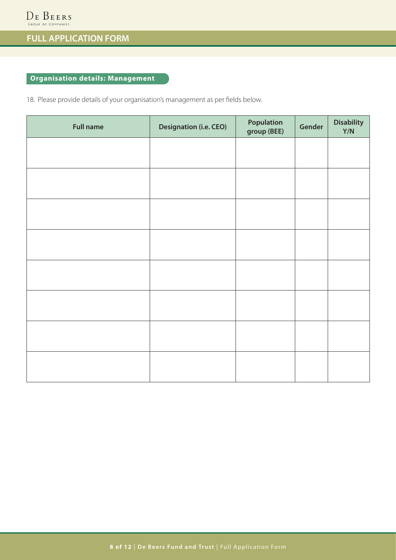### **Organisation details: Management**

18. Please provide details of your organisation's management as per fields below.

| <b>Full name</b> | <b>Designation (i.e. CEO)</b> | Population<br>group (BEE) | Gender | <b>Disability</b><br>Y/N |
|------------------|-------------------------------|---------------------------|--------|--------------------------|
|                  |                               |                           |        |                          |
|                  |                               |                           |        |                          |
|                  |                               |                           |        |                          |
|                  |                               |                           |        |                          |
|                  |                               |                           |        |                          |
|                  |                               |                           |        |                          |
|                  |                               |                           |        |                          |
|                  |                               |                           |        |                          |
|                  |                               |                           |        |                          |
|                  |                               |                           |        |                          |
|                  |                               |                           |        |                          |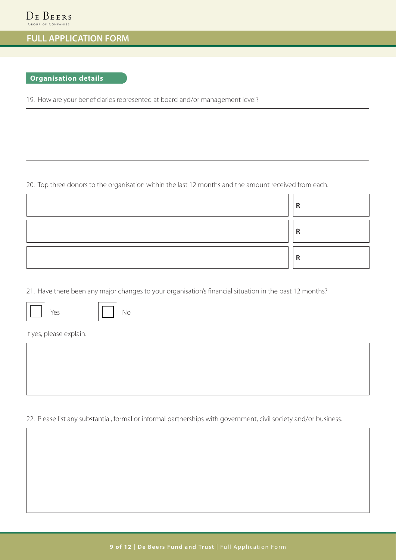### **Organisation details**

19. How are your beneficiaries represented at board and/or management level?

20. Top three donors to the organisation within the last 12 months and the amount received from each.

| D |
|---|
| D |
| D |

21. Have there been any major changes to your organisation's financial situation in the past 12 months?





If yes, please explain.



22. Please list any substantial, formal or informal partnerships with government, civil society and/or business.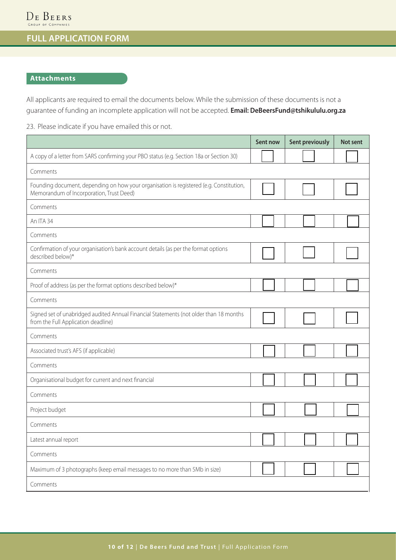### **Attachments**

All applicants are required to email the documents below. While the submission of these documents is not a guarantee of funding an incomplete application will not be accepted. **Email: DeBeersFund@tshikululu.org.za**

23. Please indicate if you have emailed this or not.

|                                                                                                                                     | Sent now | <b>Sent previously</b> | Not sent |  |  |  |  |
|-------------------------------------------------------------------------------------------------------------------------------------|----------|------------------------|----------|--|--|--|--|
| A copy of a letter from SARS confirming your PBO status (e.g. Section 18a or Section 30)                                            |          |                        |          |  |  |  |  |
| Comments                                                                                                                            |          |                        |          |  |  |  |  |
| Founding document, depending on how your organisation is registered (e.g. Constitution,<br>Memorandum of Incorporation, Trust Deed) |          |                        |          |  |  |  |  |
| Comments                                                                                                                            |          |                        |          |  |  |  |  |
| An ITA 34                                                                                                                           |          |                        |          |  |  |  |  |
| Comments                                                                                                                            |          |                        |          |  |  |  |  |
| Confirmation of your organisation's bank account details (as per the format options<br>described below)*                            |          |                        |          |  |  |  |  |
| Comments                                                                                                                            |          |                        |          |  |  |  |  |
| Proof of address (as per the format options described below)*                                                                       |          |                        |          |  |  |  |  |
| Comments                                                                                                                            |          |                        |          |  |  |  |  |
| Signed set of unabridged audited Annual Financial Statements (not older than 18 months<br>from the Full Application deadline)       |          |                        |          |  |  |  |  |
| Comments                                                                                                                            |          |                        |          |  |  |  |  |
| Associated trust's AFS (if applicable)                                                                                              |          |                        |          |  |  |  |  |
| Comments                                                                                                                            |          |                        |          |  |  |  |  |
| Organisational budget for current and next financial                                                                                |          |                        |          |  |  |  |  |
| Comments                                                                                                                            |          |                        |          |  |  |  |  |
| Project budget                                                                                                                      |          |                        |          |  |  |  |  |
| Comments                                                                                                                            |          |                        |          |  |  |  |  |
| Latest annual report                                                                                                                |          |                        |          |  |  |  |  |
| Comments                                                                                                                            |          |                        |          |  |  |  |  |
| Maximum of 3 photographs (keep email messages to no more than 5Mb in size)                                                          |          |                        |          |  |  |  |  |
| Comments                                                                                                                            |          |                        |          |  |  |  |  |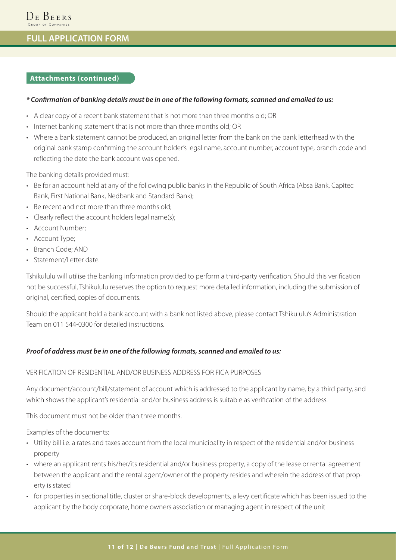#### **Attachments (continued)**

#### *\* Confirmation of banking details must be in one of the following formats, scanned and emailed to us:*

- A clear copy of a recent bank statement that is not more than three months old; OR
- Internet banking statement that is not more than three months old; OR
- Where a bank statement cannot be produced, an original letter from the bank on the bank letterhead with the original bank stamp confirming the account holder's legal name, account number, account type, branch code and reflecting the date the bank account was opened.

The banking details provided must:

- Be for an account held at any of the following public banks in the Republic of South Africa (Absa Bank, Capitec Bank, First National Bank, Nedbank and Standard Bank);
- Be recent and not more than three months old;
- Clearly reflect the account holders legal name(s);
- Account Number;
- Account Type;
- Branch Code; AND
- Statement/Letter date

Tshikululu will utilise the banking information provided to perform a third-party verification. Should this verification not be successful, Tshikululu reserves the option to request more detailed information, including the submission of original, certified, copies of documents.

Should the applicant hold a bank account with a bank not listed above, please contact Tshikululu's Administration Team on 011 544-0300 for detailed instructions.

#### *Proof of address must be in one of the following formats, scanned and emailed to us:*

### VERIFICATION OF RESIDENTIAL AND/OR BUSINESS ADDRESS FOR FICA PURPOSES

Any document/account/bill/statement of account which is addressed to the applicant by name, by a third party, and which shows the applicant's residential and/or business address is suitable as verification of the address.

This document must not be older than three months.

Examples of the documents:

- Utility bill i.e. a rates and taxes account from the local municipality in respect of the residential and/or business property
- where an applicant rents his/her/its residential and/or business property, a copy of the lease or rental agreement between the applicant and the rental agent/owner of the property resides and wherein the address of that property is stated
- for properties in sectional title, cluster or share-block developments, a levy certificate which has been issued to the applicant by the body corporate, home owners association or managing agent in respect of the unit